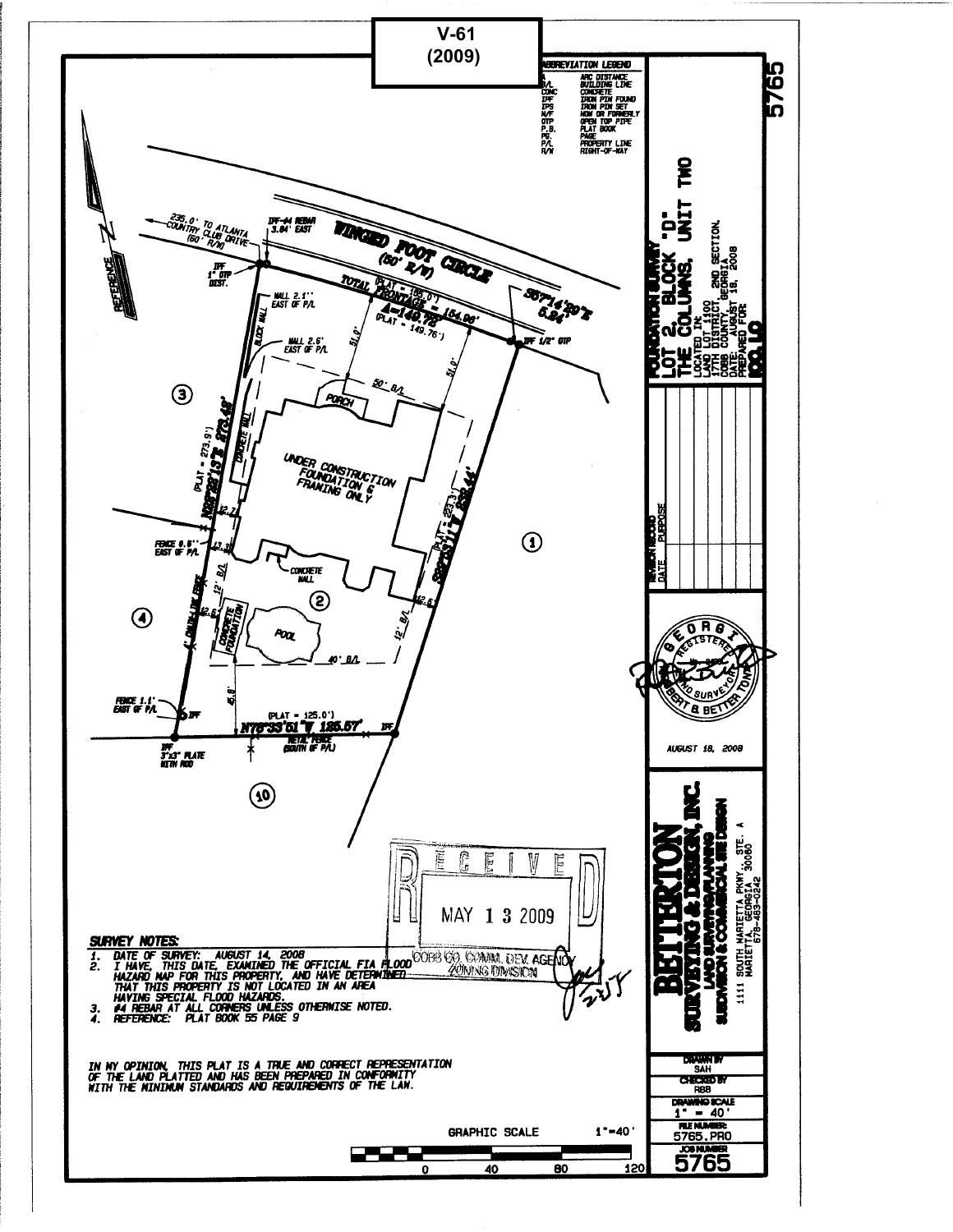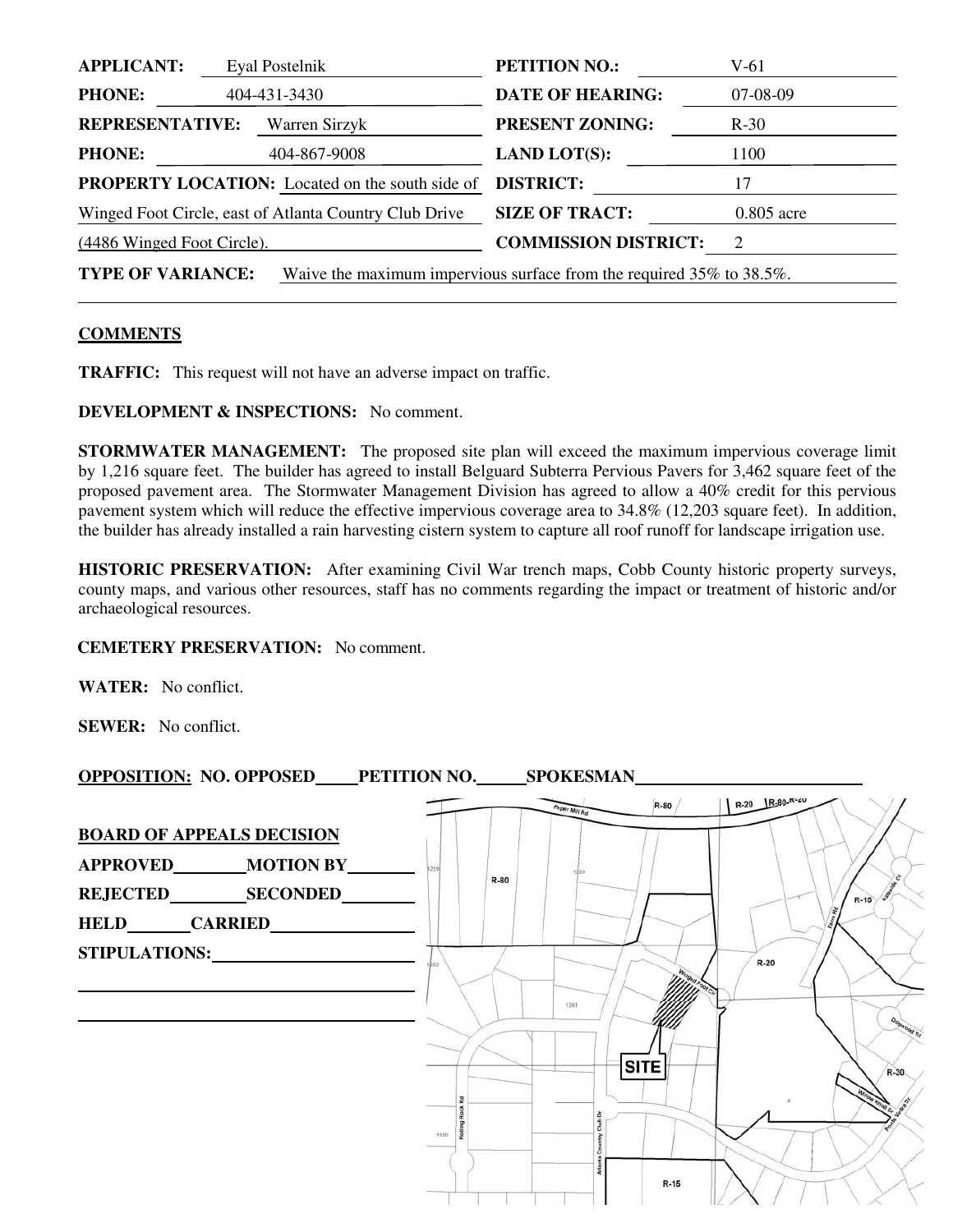| <b>APPLICANT:</b>          | Eyal Postelnik                                         | <b>PETITION NO.:</b>                                                 | $V-61$       |
|----------------------------|--------------------------------------------------------|----------------------------------------------------------------------|--------------|
| <b>PHONE:</b>              | 404-431-3430                                           | <b>DATE OF HEARING:</b>                                              | 07-08-09     |
| <b>REPRESENTATIVE:</b>     | Warren Sirzyk                                          | <b>PRESENT ZONING:</b>                                               | $R-30$       |
| <b>PHONE:</b>              | 404-867-9008                                           | <b>LAND LOT(S):</b>                                                  | 1100         |
|                            | <b>PROPERTY LOCATION:</b> Located on the south side of | <b>DISTRICT:</b>                                                     | 17           |
|                            | Winged Foot Circle, east of Atlanta Country Club Drive | <b>SIZE OF TRACT:</b>                                                | $0.805$ acre |
| (4486 Winged Foot Circle). |                                                        | <b>COMMISSION DISTRICT:</b>                                          | 2            |
| <b>TYPE OF VARIANCE:</b>   |                                                        | Waive the maximum impervious surface from the required 35% to 38.5%. |              |

## **COMMENTS**

**TRAFFIC:** This request will not have an adverse impact on traffic.

**DEVELOPMENT & INSPECTIONS:** No comment.

**STORMWATER MANAGEMENT:** The proposed site plan will exceed the maximum impervious coverage limit by 1,216 square feet. The builder has agreed to install Belguard Subterra Pervious Pavers for 3,462 square feet of the proposed pavement area. The Stormwater Management Division has agreed to allow a 40% credit for this pervious pavement system which will reduce the effective impervious coverage area to 34.8% (12,203 square feet). In addition, the builder has already installed a rain harvesting cistern system to capture all roof runoff for landscape irrigation use.

**HISTORIC PRESERVATION:** After examining Civil War trench maps, Cobb County historic property surveys, county maps, and various other resources, staff has no comments regarding the impact or treatment of historic and/or archaeological resources.

## **CEMETERY PRESERVATION:** No comment.

**WATER:** No conflict.

**SEWER:** No conflict.

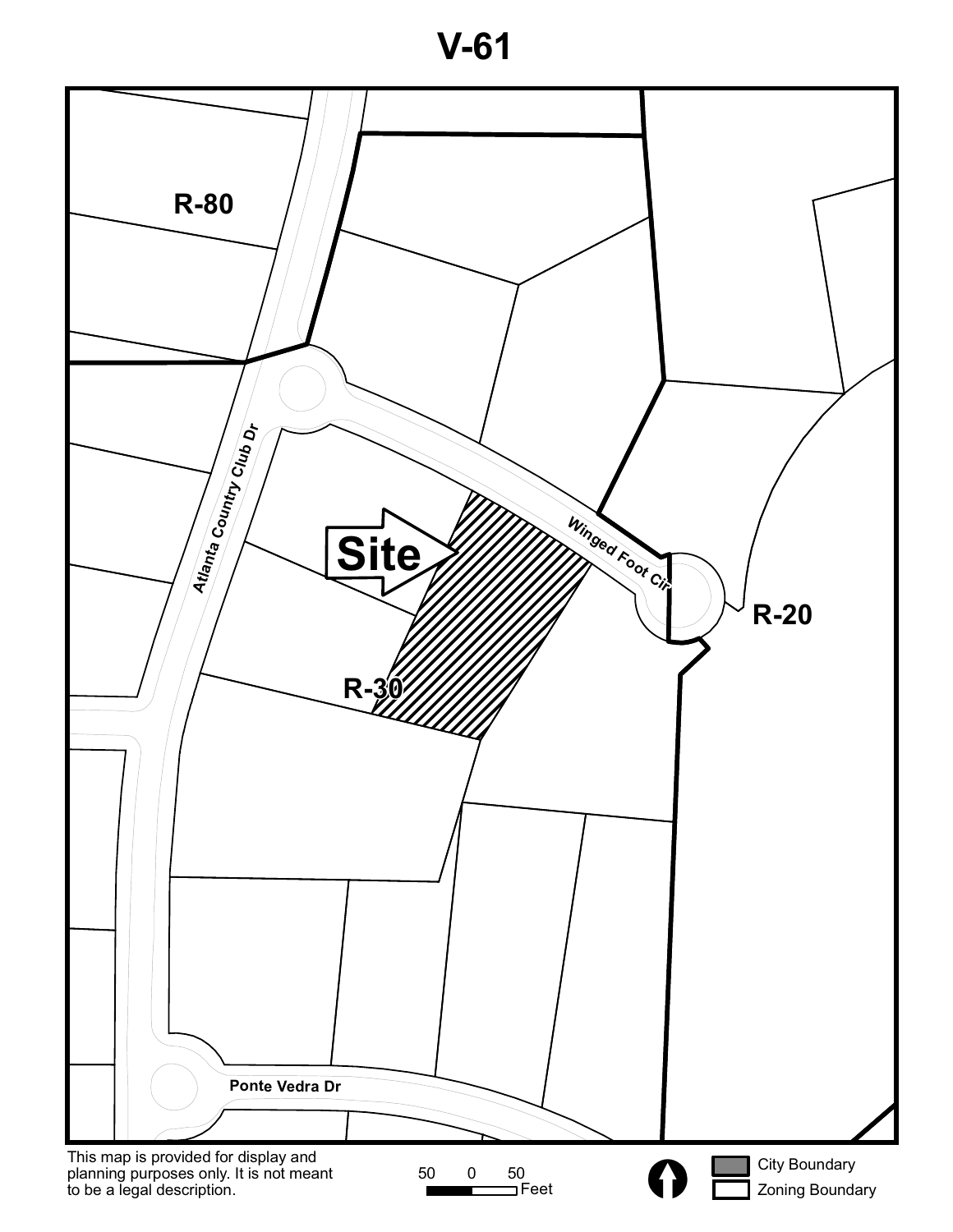**V-61**

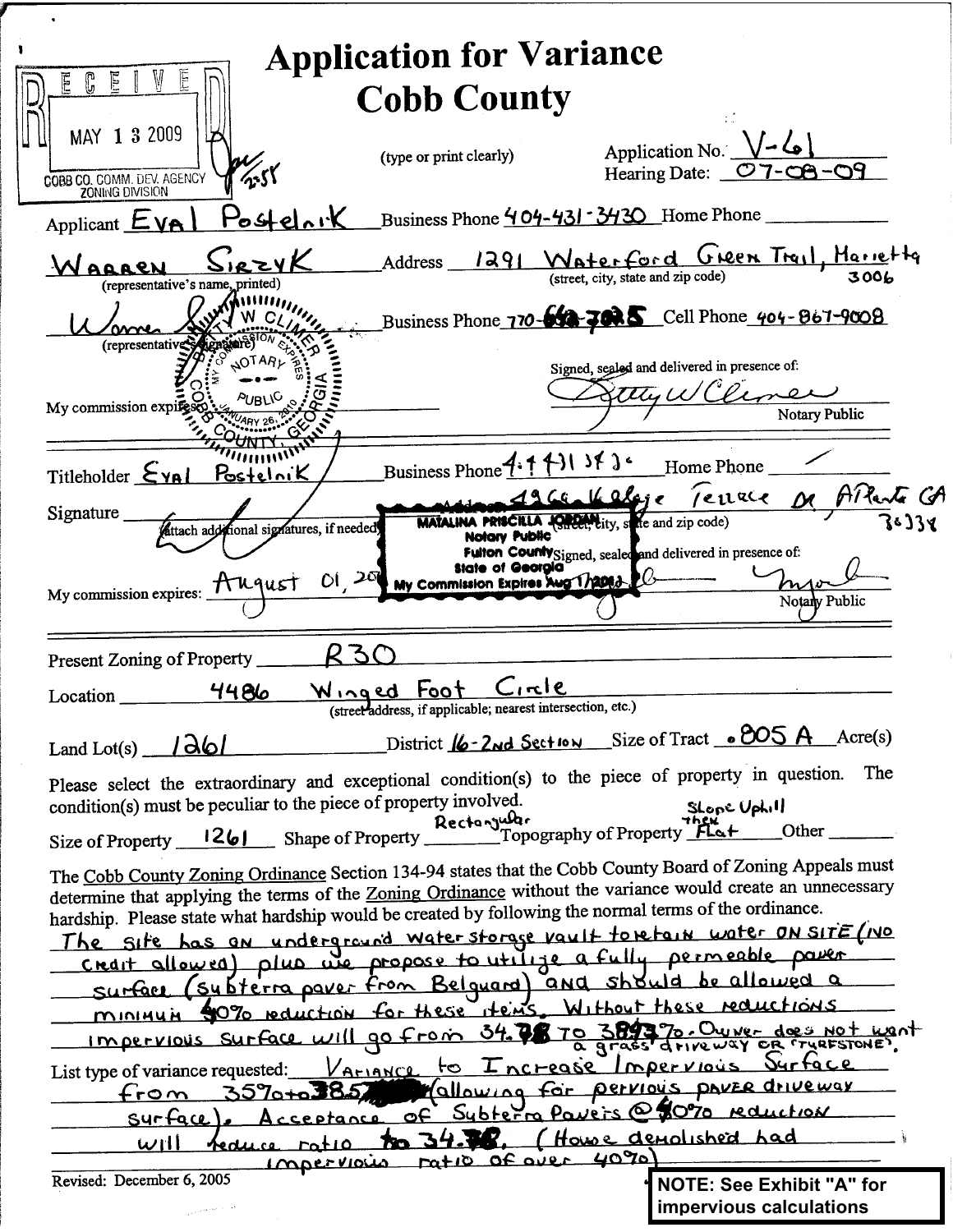|                                                                                                                                                                                                                     | <b>Application for Variance</b>                                                          |                                                                      |               |
|---------------------------------------------------------------------------------------------------------------------------------------------------------------------------------------------------------------------|------------------------------------------------------------------------------------------|----------------------------------------------------------------------|---------------|
| E                                                                                                                                                                                                                   |                                                                                          |                                                                      |               |
|                                                                                                                                                                                                                     | <b>Cobb County</b>                                                                       |                                                                      |               |
| MAY 1 3 2009                                                                                                                                                                                                        |                                                                                          | Application No. $\sqrt{-6}$                                          |               |
|                                                                                                                                                                                                                     | (type or print clearly)                                                                  | Hearing Date: 07-08-09                                               |               |
| COBB CO. COMM. DEV. AGENCY                                                                                                                                                                                          |                                                                                          |                                                                      |               |
| <u> Postelnik</u><br>Applicant $EVA$                                                                                                                                                                                |                                                                                          | Business Phone 404-431 - 3430 Home Phone                             |               |
| WAQARN                                                                                                                                                                                                              |                                                                                          | Address 1291 Waterford Green Trail, Harietta                         |               |
| (representative's name, printed)                                                                                                                                                                                    |                                                                                          |                                                                      |               |
|                                                                                                                                                                                                                     |                                                                                          | Business Phone 770-642-7025 Cell Phone 404-867-9008                  |               |
| (representative                                                                                                                                                                                                     |                                                                                          | Signed, sealed and delivered in presence of:                         |               |
|                                                                                                                                                                                                                     |                                                                                          | thy WCline                                                           |               |
| My commission expiresce                                                                                                                                                                                             |                                                                                          |                                                                      | Notary Public |
|                                                                                                                                                                                                                     |                                                                                          |                                                                      |               |
| Titleholder $\Sigma$ YAL<br>Postelnik                                                                                                                                                                               | Business Phone $4:1$ (1) if $3:$                                                         | Home Phone                                                           |               |
|                                                                                                                                                                                                                     |                                                                                          | 9.771.10 mondere De APlante CA                                       |               |
| Signature<br>attach additional signatures, if needed                                                                                                                                                                | <b>Notary Public</b>                                                                     | <b>MATALINA PRISCILLA JORGET Lity, state and zip code)</b>           |               |
|                                                                                                                                                                                                                     |                                                                                          | Fulton County Signed, sealed and delivered in presence of:           |               |
| My commission expires: Huqust                                                                                                                                                                                       | 01,20<br>My Commission Expires Aug 172063                                                |                                                                      |               |
|                                                                                                                                                                                                                     |                                                                                          |                                                                      | Notary Public |
|                                                                                                                                                                                                                     |                                                                                          |                                                                      |               |
| Present Zoning of Property_                                                                                                                                                                                         |                                                                                          |                                                                      |               |
| <u>4486</u><br>Location                                                                                                                                                                                             | <u>Winged Foot Circle</u><br>(street address, if applicable; nearest intersection, etc.) |                                                                      |               |
|                                                                                                                                                                                                                     |                                                                                          | District <u>16 - 2nd Section</u> Size of Tract . 805 A Acre(s)       |               |
| Land Lot(s) $1d$                                                                                                                                                                                                    |                                                                                          |                                                                      | The           |
| Please select the extraordinary and exceptional condition(s) to the piece of property in question.                                                                                                                  |                                                                                          |                                                                      |               |
| condition(s) must be peculiar to the piece of property involved.<br>Size of Property 1261 Shape of Property Rectangular Size of Property Plat                                                                       |                                                                                          | SLOPE Uphill                                                         | Other         |
|                                                                                                                                                                                                                     |                                                                                          |                                                                      |               |
| The Cobb County Zoning Ordinance Section 134-94 states that the Cobb County Board of Zoning Appeals must                                                                                                            |                                                                                          |                                                                      |               |
| determine that applying the terms of the Zoning Ordinance without the variance would create an unnecessary<br>hardship. Please state what hardship would be created by following the normal terms of the ordinance. |                                                                                          |                                                                      |               |
| The site has an underground waterstorage vault torefain water on site (ivo                                                                                                                                          |                                                                                          |                                                                      |               |
|                                                                                                                                                                                                                     |                                                                                          | creart allowed) plus we propose to utilize a fully permeable parent  |               |
|                                                                                                                                                                                                                     |                                                                                          | surface (subterra paver from Belguard) and showld be allowed a       |               |
|                                                                                                                                                                                                                     |                                                                                          | minimum 90% reduction for these items. Without these reductions      |               |
|                                                                                                                                                                                                                     |                                                                                          | Impervious Surface will go from 34.78 70 389370. Owner does not want |               |
| List type of variance requested:                                                                                                                                                                                    |                                                                                          | VAMANCE to Increase Impervious Durface                               |               |
| $3570 + 385$<br>$f$ rom                                                                                                                                                                                             |                                                                                          | Mallowing for pervious paver driveway                                |               |
| Syrface                                                                                                                                                                                                             |                                                                                          | Acceptance of Subterm Pavers @ 80% reduction                         |               |
| will<br>reduce ratio                                                                                                                                                                                                | 34.W.<br><b>To</b><br>Impervious ratio of over 4090)                                     | Howe demolished had                                                  |               |
| Revised: December 6, 2005                                                                                                                                                                                           |                                                                                          | <b>NOTE: See Exhibit "A" for</b>                                     |               |
|                                                                                                                                                                                                                     |                                                                                          | impervious calculations                                              |               |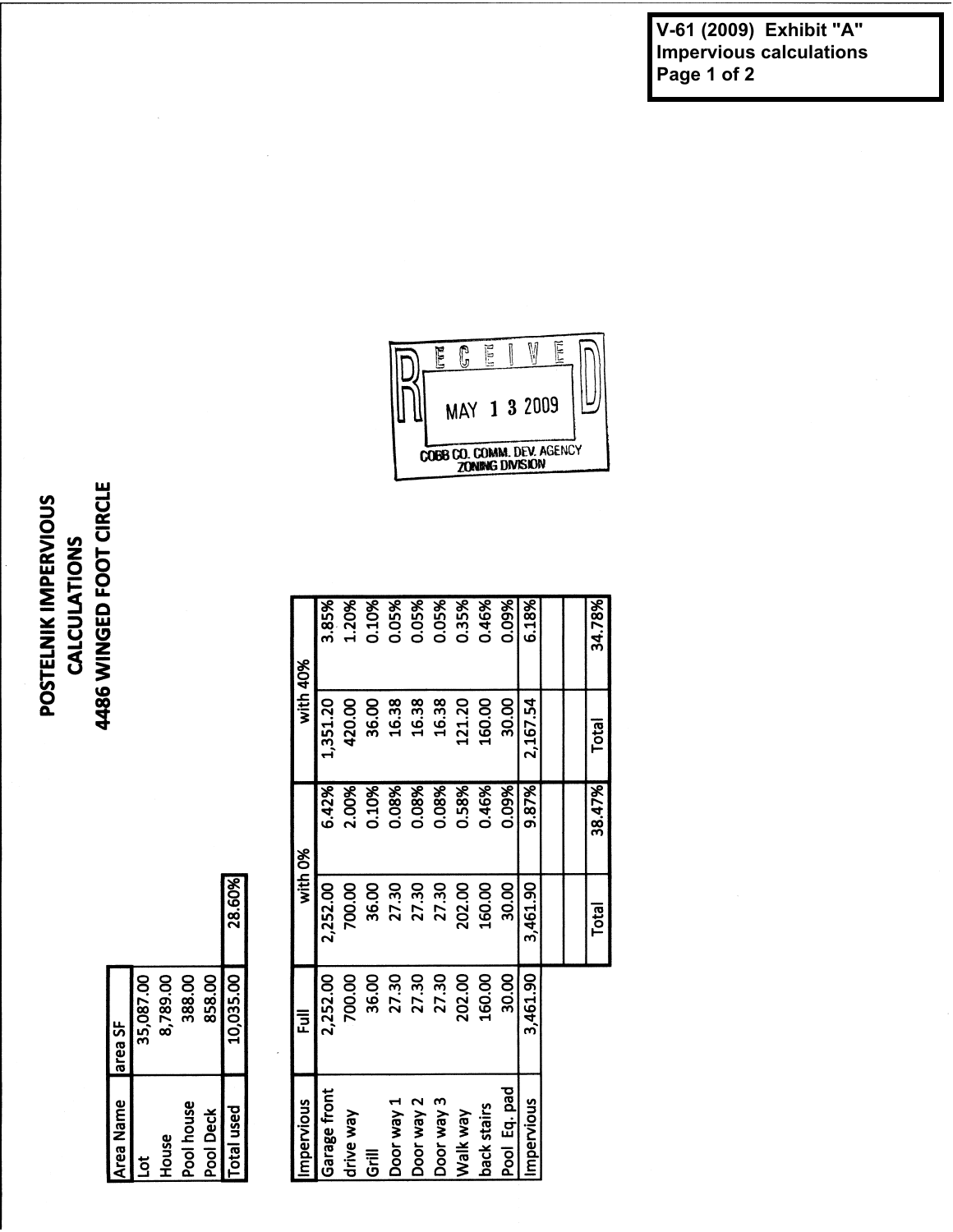**V-61 (2009) Exhibit "A" Impervious calculations Page 1 of 2**

## Ē  $\overline{\mathbb{G}}$ **PP** M  $\mathbb{E}$ 1 3 2009 ↳ **MAY** COBB CO. COMM. DEV. AGENCY

0.09% 6.18%

 $2,167.54$ 

9.87% 0.09%

3,461.90

Pool Eq. pad

back stairs Walk way

Impervious

121.20 160.00 30.00

0.46%

160.00 30.00 3,461.90

160.00 30.00 34.78%

Total

38.47%

Total

88888888888<br>320888888888<br>320888888888

|           |                   |           | 1,351.20             | 420.00    | 36.00 | 16.38      | 16.38      | 16.38      | 121.20   |
|-----------|-------------------|-----------|----------------------|-----------|-------|------------|------------|------------|----------|
|           |                   |           | 6.42%                | 2.00%     | 0.10% | 0.08%      | 0.08%      | 0.08%      | 0.58%    |
|           | 28.60%            |           | 2,252.00             | 700.00    | 36.00 | 27.30      | 27.30      | 27.30      | 202.00   |
| 858.00    | 10,035.00         | 豆         | 2,252.00             | 700.00    | 36.00 | 27.30      | 27.30      | 27.30      | 202.00   |
| Pool Deck | <b>Total used</b> | mpervious | Garage front         | drive way | Grill | Door way 1 | Door way 2 | Door way 3 | Walk way |
|           |                   |           | with $40$<br>with 0% |           |       |            |            |            |          |

 $\mathbb{R}$ 

| House          | 8,789.00  |          |       |  |
|----------------|-----------|----------|-------|--|
| Pool house     | 388.00    |          |       |  |
| Pool Deck      | 858.00    |          |       |  |
| Total used     | 10,035.00 | 28.60%   |       |  |
|                |           |          |       |  |
| Impervious     | 豆         | with 0%  |       |  |
| Garage front   | 2,252.00  | 2,252.00 | 6.42% |  |
| drive way      | 700.00    | 700.00   | 2.00% |  |
| $\overline{5}$ | 36.00     | 36.00    | 0.10% |  |

35,087.00

area SF

Area Name

 $\overline{5}$ 

## 4486 WINGED FOOT CIRCLE POSTELNIK IMPERVIOUS **CALCULATIONS**